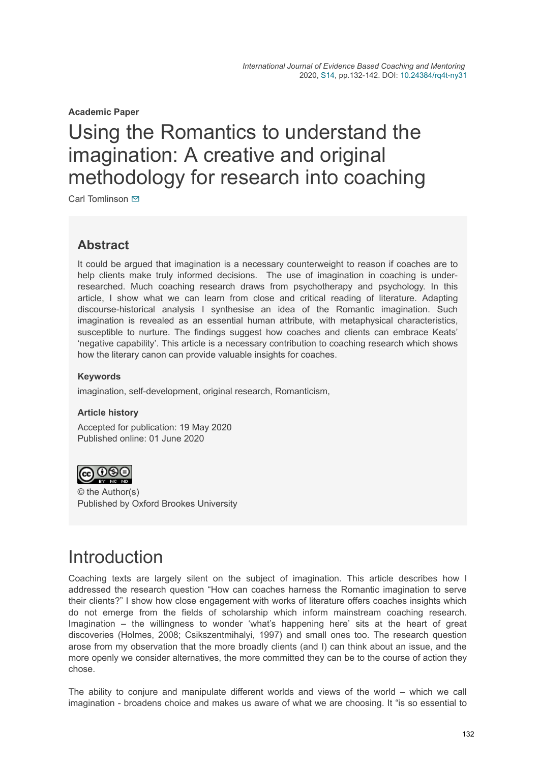**Academic Paper**

# Using the Romantics to understand the imagination: A creative and original methodology for research into coaching

Carl Tomlinson **⊠** 

### **Abstract**

It could be argued that imagination is a necessary counterweight to reason if coaches are to help clients make truly informed decisions. The use of imagination in coaching is underresearched. Much coaching research draws from psychotherapy and psychology. In this article, I show what we can learn from close and critical reading of literature. Adapting discourse-historical analysis I synthesise an idea of the Romantic imagination. Such imagination is revealed as an essential human attribute, with metaphysical characteristics, susceptible to nurture. The findings suggest how coaches and clients can embrace Keats' 'negative capability'. This article is a necessary contribution to coaching research which shows how the literary canon can provide valuable insights for coaches.

### **Keywords**

imagination, self-development, original research, Romanticism,

### **Article history**

Accepted for publication: 19 May 2020 Published online: 01 June 2020



© the Author(s) Published by Oxford Brookes University

## **Introduction**

Coaching texts are largely silent on the subject of imagination. This article describes how I addressed the research question "How can coaches harness the Romantic imagination to serve their clients?" I show how close engagement with works of literature offers coaches insights which do not emerge from the fields of scholarship which inform mainstream coaching research. Imagination – the willingness to wonder 'what's happening here' sits at the heart of great discoveries (Holmes, 2008; Csikszentmihalyi, 1997) and small ones too. The research question arose from my observation that the more broadly clients (and I) can think about an issue, and the more openly we consider alternatives, the more committed they can be to the course of action they chose.

The ability to conjure and manipulate different worlds and views of the world – which we call imagination - broadens choice and makes us aware of what we are choosing. It "is so essential to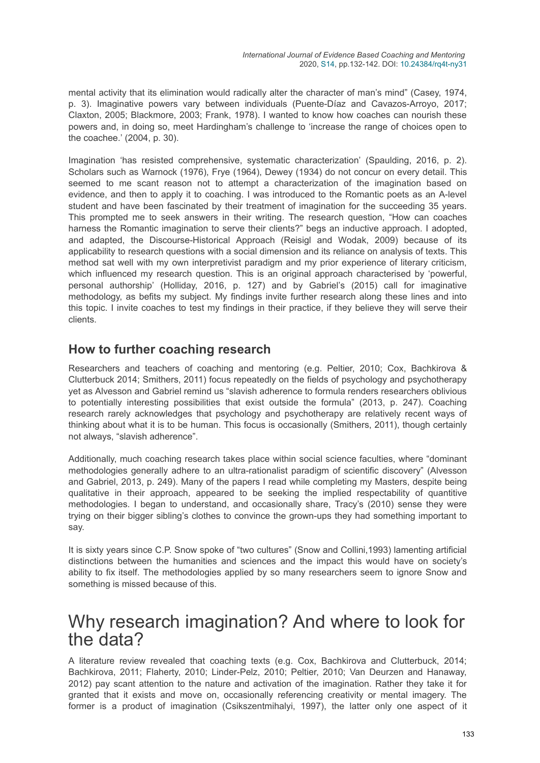mental activity that its elimination would radically alter the character of man's mind" (Casey, 1974, p. 3). Imaginative powers vary between individuals (Puente-Díaz and Cavazos-Arroyo, 2017; Claxton, 2005; Blackmore, 2003; Frank, 1978). I wanted to know how coaches can nourish these powers and, in doing so, meet Hardingham's challenge to 'increase the range of choices open to the coachee.' (2004, p. 30).

Imagination 'has resisted comprehensive, systematic characterization' (Spaulding, 2016, p. 2). Scholars such as Warnock (1976), Frye (1964), Dewey (1934) do not concur on every detail. This seemed to me scant reason not to attempt a characterization of the imagination based on evidence, and then to apply it to coaching. I was introduced to the Romantic poets as an A-level student and have been fascinated by their treatment of imagination for the succeeding 35 years. This prompted me to seek answers in their writing. The research question, "How can coaches harness the Romantic imagination to serve their clients?" begs an inductive approach. I adopted, and adapted, the Discourse-Historical Approach (Reisigl and Wodak, 2009) because of its applicability to research questions with a social dimension and its reliance on analysis of texts. This method sat well with my own interpretivist paradigm and my prior experience of literary criticism, which influenced my research question. This is an original approach characterised by 'powerful, personal authorship' (Holliday, 2016, p. 127) and by Gabriel's (2015) call for imaginative methodology, as befits my subject. My findings invite further research along these lines and into this topic. I invite coaches to test my findings in their practice, if they believe they will serve their clients.

### **How to further coaching research**

Researchers and teachers of coaching and mentoring (e.g. Peltier, 2010; Cox, Bachkirova & Clutterbuck 2014; Smithers, 2011) focus repeatedly on the fields of psychology and psychotherapy yet as Alvesson and Gabriel remind us "slavish adherence to formula renders researchers oblivious to potentially interesting possibilities that exist outside the formula" (2013, p. 247). Coaching research rarely acknowledges that psychology and psychotherapy are relatively recent ways of thinking about what it is to be human. This focus is occasionally (Smithers, 2011), though certainly not always, "slavish adherence".

Additionally, much coaching research takes place within social science faculties, where "dominant methodologies generally adhere to an ultra-rationalist paradigm of scientific discovery" (Alvesson and Gabriel, 2013, p. 249). Many of the papers I read while completing my Masters, despite being qualitative in their approach, appeared to be seeking the implied respectability of quantitive methodologies. I began to understand, and occasionally share, Tracy's (2010) sense they were trying on their bigger sibling's clothes to convince the grown-ups they had something important to say.

It is sixty years since C.P. Snow spoke of "two cultures" (Snow and Collini,1993) lamenting artificial distinctions between the humanities and sciences and the impact this would have on society's ability to fix itself. The methodologies applied by so many researchers seem to ignore Snow and something is missed because of this.

### Why research imagination? And where to look for the data?

A literature review revealed that coaching texts (e.g. Cox, Bachkirova and Clutterbuck, 2014; Bachkirova, 2011; Flaherty, 2010; Linder-Pelz, 2010; Peltier, 2010; Van Deurzen and Hanaway, 2012) pay scant attention to the nature and activation of the imagination. Rather they take it for granted that it exists and move on, occasionally referencing creativity or mental imagery. The former is a product of imagination (Csikszentmihalyi, 1997), the latter only one aspect of it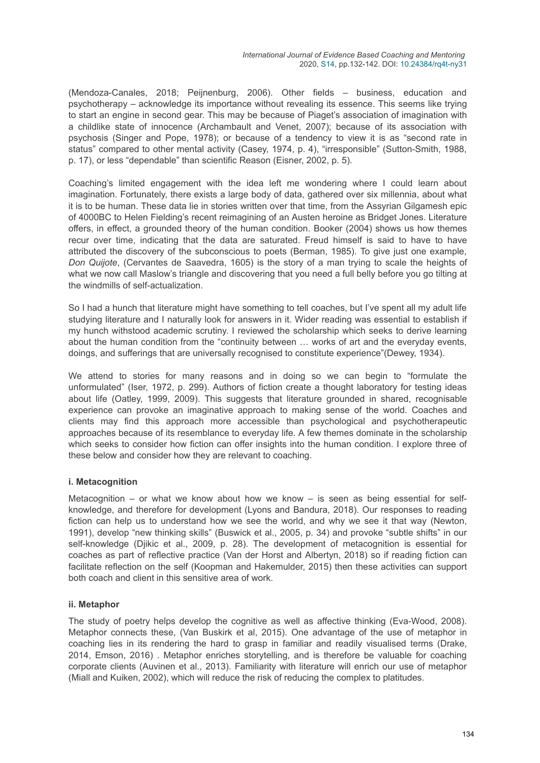(Mendoza-Canales, 2018; Peijnenburg, 2006). Other fields – business, education and psychotherapy – acknowledge its importance without revealing its essence. This seems like trying to start an engine in second gear. This may be because of Piaget's association of imagination with a childlike state of innocence (Archambault and Venet, 2007); because of its association with psychosis (Singer and Pope, 1978); or because of a tendency to view it is as "second rate in status" compared to other mental activity (Casey, 1974, p. 4), "irresponsible" (Sutton-Smith, 1988, p. 17), or less "dependable" than scientific Reason (Eisner, 2002, p. 5).

Coaching's limited engagement with the idea left me wondering where I could learn about imagination. Fortunately, there exists a large body of data, gathered over six millennia, about what it is to be human. These data lie in stories written over that time, from the Assyrian Gilgamesh epic of 4000BC to Helen Fielding's recent reimagining of an Austen heroine as Bridget Jones. Literature offers, in effect, a grounded theory of the human condition. Booker (2004) shows us how themes recur over time, indicating that the data are saturated. Freud himself is said to have to have attributed the discovery of the subconscious to poets (Berman, 1985). To give just one example, *Don Quijote*, (Cervantes de Saavedra, 1605) is the story of a man trying to scale the heights of what we now call Maslow's triangle and discovering that you need a full belly before you go tilting at the windmills of self-actualization.

So I had a hunch that literature might have something to tell coaches, but I've spent all my adult life studying literature and I naturally look for answers in it. Wider reading was essential to establish if my hunch withstood academic scrutiny. I reviewed the scholarship which seeks to derive learning about the human condition from the "continuity between … works of art and the everyday events, doings, and sufferings that are universally recognised to constitute experience"(Dewey, 1934).

We attend to stories for many reasons and in doing so we can begin to "formulate the unformulated" (Iser, 1972, p. 299). Authors of fiction create a thought laboratory for testing ideas about life (Oatley, 1999, 2009). This suggests that literature grounded in shared, recognisable experience can provoke an imaginative approach to making sense of the world. Coaches and clients may find this approach more accessible than psychological and psychotherapeutic approaches because of its resemblance to everyday life. A few themes dominate in the scholarship which seeks to consider how fiction can offer insights into the human condition. I explore three of these below and consider how they are relevant to coaching.

### **i. Metacognition**

Metacognition – or what we know about how we know – is seen as being essential for selfknowledge, and therefore for development (Lyons and Bandura, 2018). Our responses to reading fiction can help us to understand how we see the world, and why we see it that way (Newton, 1991), develop "new thinking skills" (Buswick et al., 2005, p. 34) and provoke "subtle shifts" in our self-knowledge (Djikic et al., 2009, p. 28). The development of metacognition is essential for coaches as part of reflective practice (Van der Horst and Albertyn, 2018) so if reading fiction can facilitate reflection on the self (Koopman and Hakemulder, 2015) then these activities can support both coach and client in this sensitive area of work.

### **ii. Metaphor**

The study of poetry helps develop the cognitive as well as affective thinking (Eva-Wood, 2008). Metaphor connects these, (Van Buskirk et al, 2015). One advantage of the use of metaphor in coaching lies in its rendering the hard to grasp in familiar and readily visualised terms (Drake, 2014, Emson, 2016) . Metaphor enriches storytelling, and is therefore be valuable for coaching corporate clients (Auvinen et al., 2013). Familiarity with literature will enrich our use of metaphor (Miall and Kuiken, 2002), which will reduce the risk of reducing the complex to platitudes.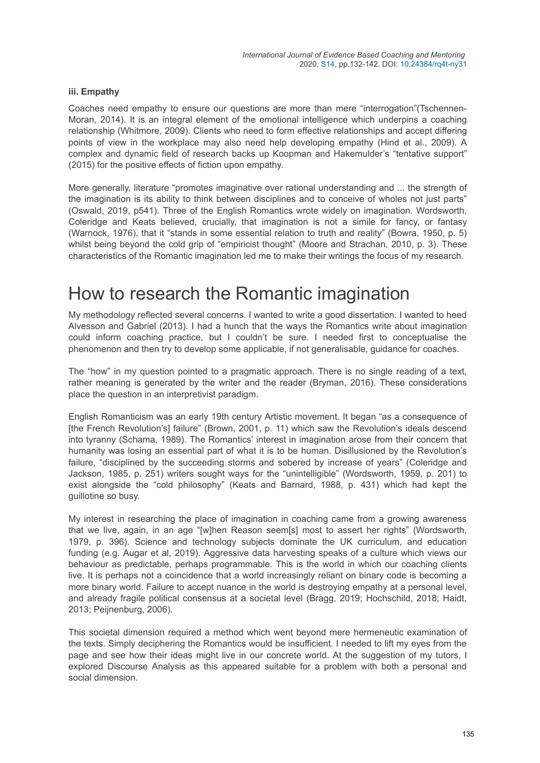#### **iii. Empathy**

Coaches need empathy to ensure our questions are more than mere "interrogation"(Tschennen-Moran, 2014). It is an integral element of the emotional intelligence which underpins a coaching relationship (Whitmore, 2009). Clients who need to form effective relationships and accept differing points of view in the workplace may also need help developing empathy (Hind et al., 2009). A complex and dynamic field of research backs up Koopman and Hakemulder's "tentative support" (2015) for the positive effects of fiction upon empathy.

More generally, literature "promotes imaginative over rational understanding and ... the strength of the imagination is its ability to think between disciplines and to conceive of wholes not just parts" (Oswald, 2019, p541). Three of the English Romantics wrote widely on imagination. Wordsworth, Coleridge and Keats believed, crucially, that imagination is not a simile for fancy, or fantasy (Warnock, 1976), that it "stands in some essential relation to truth and reality" (Bowra, 1950, p. 5) whilst being beyond the cold grip of "empiricist thought" (Moore and Strachan, 2010, p. 3). These characteristics of the Romantic imagination led me to make their writings the focus of my research.

## How to research the Romantic imagination

My methodology reflected several concerns. I wanted to write a good dissertation. I wanted to heed Alvesson and Gabriel (2013). I had a hunch that the ways the Romantics write about imagination could inform coaching practice, but I couldn't be sure. I needed first to conceptualise the phenomenon and then try to develop some applicable, if not generalisable, guidance for coaches.

The "how" in my question pointed to a pragmatic approach. There is no single reading of a text, rather meaning is generated by the writer and the reader (Bryman, 2016). These considerations place the question in an interpretivist paradigm.

English Romanticism was an early 19th century Artistic movement. It began "as a consequence of [the French Revolution's] failure" (Brown, 2001, p. 11) which saw the Revolution's ideals descend into tyranny (Schama, 1989). The Romantics' interest in imagination arose from their concern that humanity was losing an essential part of what it is to be human. Disillusioned by the Revolution's failure, "disciplined by the succeeding storms and sobered by increase of years" (Coleridge and Jackson, 1985, p. 251) writers sought ways for the "unintelligible" (Wordsworth, 1959, p. 201) to exist alongside the "cold philosophy" (Keats and Barnard, 1988, p. 431) which had kept the guillotine so busy.

My interest in researching the place of imagination in coaching came from a growing awareness that we live, again, in an age "[w]hen Reason seem[s] most to assert her rights" (Wordsworth, 1979, p. 396). Science and technology subjects dominate the UK curriculum, and education funding (e.g. Augar et al, 2019). Aggressive data harvesting speaks of a culture which views our behaviour as predictable, perhaps programmable. This is the world in which our coaching clients live. It is perhaps not a coincidence that a world increasingly reliant on binary code is becoming a more binary world. Failure to accept nuance in the world is destroying empathy at a personal level, and already fragile political consensus at a societal level (Bragg, 2019; Hochschild, 2018; Haidt, 2013; Peijnenburg, 2006).

This societal dimension required a method which went beyond mere hermeneutic examination of the texts. Simply deciphering the Romantics would be insufficient. I needed to lift my eyes from the page and see how their ideas might live in our concrete world. At the suggestion of my tutors, I explored Discourse Analysis as this appeared suitable for a problem with both a personal and social dimension.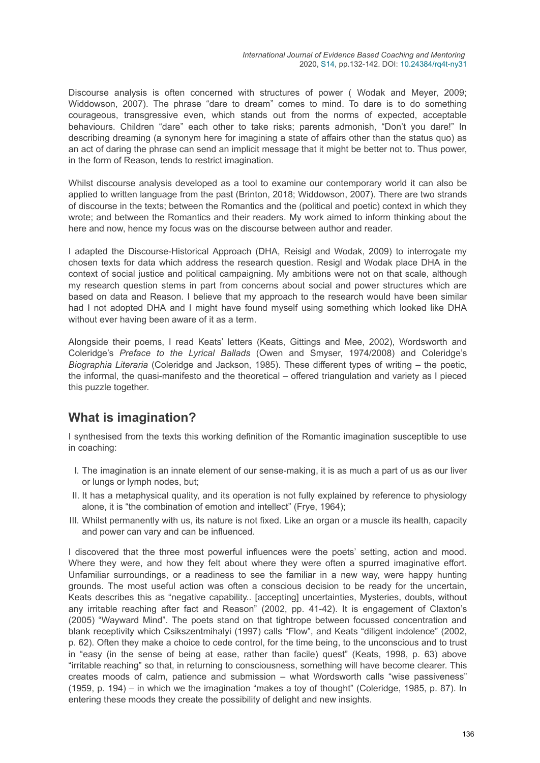Discourse analysis is often concerned with structures of power ( Wodak and Meyer, 2009; Widdowson, 2007). The phrase "dare to dream" comes to mind. To dare is to do something courageous, transgressive even, which stands out from the norms of expected, acceptable behaviours. Children "dare" each other to take risks; parents admonish, "Don't you dare!" In describing dreaming (a synonym here for imagining a state of affairs other than the status quo) as an act of daring the phrase can send an implicit message that it might be better not to. Thus power, in the form of Reason, tends to restrict imagination.

Whilst discourse analysis developed as a tool to examine our contemporary world it can also be applied to written language from the past (Brinton, 2018; Widdowson, 2007). There are two strands of discourse in the texts; between the Romantics and the (political and poetic) context in which they wrote; and between the Romantics and their readers. My work aimed to inform thinking about the here and now, hence my focus was on the discourse between author and reader.

I adapted the Discourse-Historical Approach (DHA, Reisigl and Wodak, 2009) to interrogate my chosen texts for data which address the research question. Resigl and Wodak place DHA in the context of social justice and political campaigning. My ambitions were not on that scale, although my research question stems in part from concerns about social and power structures which are based on data and Reason. I believe that my approach to the research would have been similar had I not adopted DHA and I might have found myself using something which looked like DHA without ever having been aware of it as a term.

Alongside their poems, I read Keats' letters (Keats, Gittings and Mee, 2002), Wordsworth and Coleridge's *Preface to the Lyrical Ballads* (Owen and Smyser, 1974/2008) and Coleridge's *Biographia Literaria* (Coleridge and Jackson, 1985). These different types of writing – the poetic, the informal, the quasi-manifesto and the theoretical – offered triangulation and variety as I pieced this puzzle together.

### **What is imagination?**

I synthesised from the texts this working definition of the Romantic imagination susceptible to use in coaching:

- I. The imagination is an innate element of our sense-making, it is as much a part of us as our liver or lungs or lymph nodes, but;
- II. It has a metaphysical quality, and its operation is not fully explained by reference to physiology alone, it is "the combination of emotion and intellect" (Frye, 1964);
- III. Whilst permanently with us, its nature is not fixed. Like an organ or a muscle its health, capacity and power can vary and can be influenced.

I discovered that the three most powerful influences were the poets' setting, action and mood. Where they were, and how they felt about where they were often a spurred imaginative effort. Unfamiliar surroundings, or a readiness to see the familiar in a new way, were happy hunting grounds. The most useful action was often a conscious decision to be ready for the uncertain, Keats describes this as "negative capability.. [accepting] uncertainties, Mysteries, doubts, without any irritable reaching after fact and Reason" (2002, pp. 41-42). It is engagement of Claxton's (2005) "Wayward Mind". The poets stand on that tightrope between focussed concentration and blank receptivity which Csikszentmihalyi (1997) calls "Flow", and Keats "diligent indolence" (2002, p. 62). Often they make a choice to cede control, for the time being, to the unconscious and to trust in "easy (in the sense of being at ease, rather than facile) quest" (Keats, 1998, p. 63) above "irritable reaching" so that, in returning to consciousness, something will have become clearer. This creates moods of calm, patience and submission – what Wordsworth calls "wise passiveness" (1959, p. 194) – in which we the imagination "makes a toy of thought" (Coleridge, 1985, p. 87). In entering these moods they create the possibility of delight and new insights.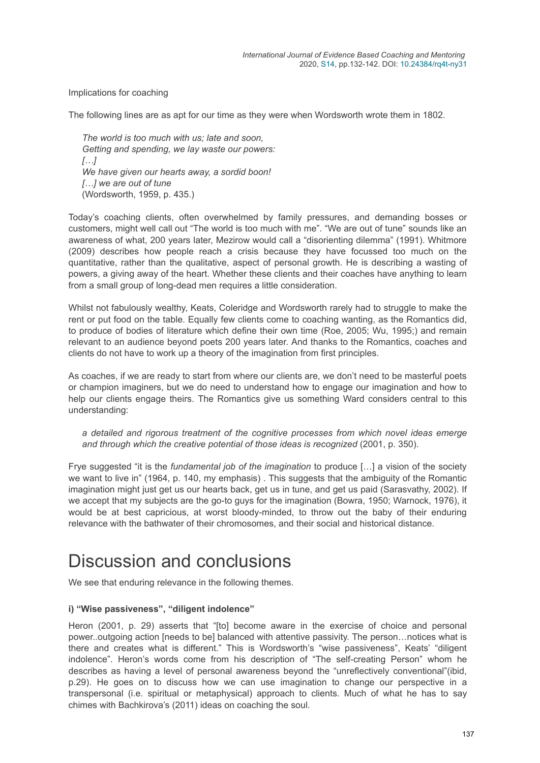Implications for coaching

The following lines are as apt for our time as they were when Wordsworth wrote them in 1802.

*The world is too much with us; late and soon, Getting and spending, we lay waste our powers: […] We have given our hearts away, a sordid boon! […] we are out of tune* (Wordsworth, 1959, p. 435.)

Today's coaching clients, often overwhelmed by family pressures, and demanding bosses or customers, might well call out "The world is too much with me". "We are out of tune" sounds like an awareness of what, 200 years later, Mezirow would call a "disorienting dilemma" (1991). Whitmore (2009) describes how people reach a crisis because they have focussed too much on the quantitative, rather than the qualitative, aspect of personal growth. He is describing a wasting of powers, a giving away of the heart. Whether these clients and their coaches have anything to learn from a small group of long-dead men requires a little consideration.

Whilst not fabulously wealthy, Keats, Coleridge and Wordsworth rarely had to struggle to make the rent or put food on the table. Equally few clients come to coaching wanting, as the Romantics did, to produce of bodies of literature which define their own time (Roe, 2005; Wu, 1995;) and remain relevant to an audience beyond poets 200 years later. And thanks to the Romantics, coaches and clients do not have to work up a theory of the imagination from first principles.

As coaches, if we are ready to start from where our clients are, we don't need to be masterful poets or champion imaginers, but we do need to understand how to engage our imagination and how to help our clients engage theirs. The Romantics give us something Ward considers central to this understanding:

*a detailed and rigorous treatment of the cognitive processes from which novel ideas emerge and through which the creative potential of those ideas is recognized* (2001, p. 350).

Frye suggested "it is the *fundamental job of the imagination* to produce […] a vision of the society we want to live in" (1964, p. 140, my emphasis) . This suggests that the ambiguity of the Romantic imagination might just get us our hearts back, get us in tune, and get us paid (Sarasvathy, 2002). If we accept that my subjects are the go-to guys for the imagination (Bowra, 1950; Warnock, 1976), it would be at best capricious, at worst bloody-minded, to throw out the baby of their enduring relevance with the bathwater of their chromosomes, and their social and historical distance.

## Discussion and conclusions

We see that enduring relevance in the following themes.

#### **i) "Wise passiveness", "diligent indolence"**

Heron (2001, p. 29) asserts that "[to] become aware in the exercise of choice and personal power..outgoing action [needs to be] balanced with attentive passivity. The person…notices what is there and creates what is different." This is Wordsworth's "wise passiveness", Keats' "diligent indolence". Heron's words come from his description of "The self-creating Person" whom he describes as having a level of personal awareness beyond the "unreflectively conventional"(ibid, p.29). He goes on to discuss how we can use imagination to change our perspective in a transpersonal (i.e. spiritual or metaphysical) approach to clients. Much of what he has to say chimes with Bachkirova's (2011) ideas on coaching the soul.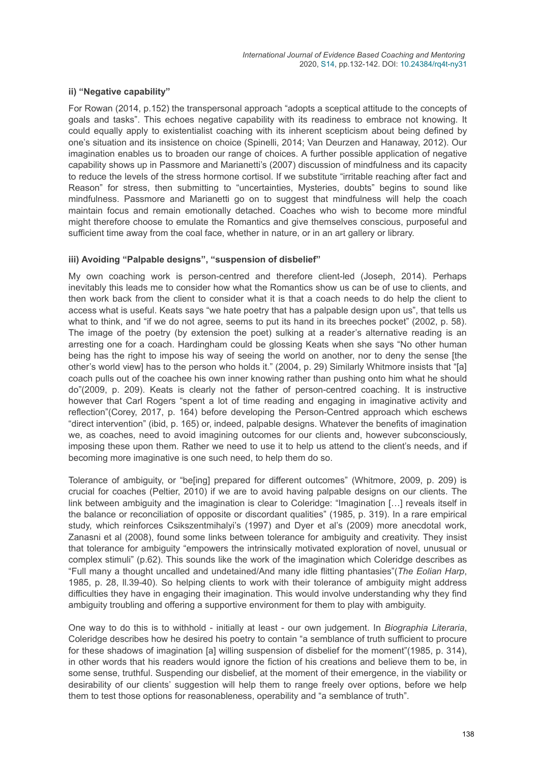#### **ii) "Negative capability"**

For Rowan (2014, p.152) the transpersonal approach "adopts a sceptical attitude to the concepts of goals and tasks". This echoes negative capability with its readiness to embrace not knowing. It could equally apply to existentialist coaching with its inherent scepticism about being defined by one's situation and its insistence on choice (Spinelli, 2014; Van Deurzen and Hanaway, 2012). Our imagination enables us to broaden our range of choices. A further possible application of negative capability shows up in Passmore and Marianetti's (2007) discussion of mindfulness and its capacity to reduce the levels of the stress hormone cortisol. If we substitute "irritable reaching after fact and Reason" for stress, then submitting to "uncertainties, Mysteries, doubts" begins to sound like mindfulness. Passmore and Marianetti go on to suggest that mindfulness will help the coach maintain focus and remain emotionally detached. Coaches who wish to become more mindful might therefore choose to emulate the Romantics and give themselves conscious, purposeful and sufficient time away from the coal face, whether in nature, or in an art gallery or library.

#### **iii) Avoiding "Palpable designs", "suspension of disbelief"**

My own coaching work is person-centred and therefore client-led (Joseph, 2014). Perhaps inevitably this leads me to consider how what the Romantics show us can be of use to clients, and then work back from the client to consider what it is that a coach needs to do help the client to access what is useful. Keats says "we hate poetry that has a palpable design upon us", that tells us what to think, and "if we do not agree, seems to put its hand in its breeches pocket" (2002, p. 58). The image of the poetry (by extension the poet) sulking at a reader's alternative reading is an arresting one for a coach. Hardingham could be glossing Keats when she says "No other human being has the right to impose his way of seeing the world on another, nor to deny the sense [the other's world view] has to the person who holds it." (2004, p. 29) Similarly Whitmore insists that "[a] coach pulls out of the coachee his own inner knowing rather than pushing onto him what he should do"(2009, p. 209). Keats is clearly not the father of person-centred coaching. It is instructive however that Carl Rogers "spent a lot of time reading and engaging in imaginative activity and reflection"(Corey, 2017, p. 164) before developing the Person-Centred approach which eschews "direct intervention" (ibid, p. 165) or, indeed, palpable designs. Whatever the benefits of imagination we, as coaches, need to avoid imagining outcomes for our clients and, however subconsciously, imposing these upon them. Rather we need to use it to help us attend to the client's needs, and if becoming more imaginative is one such need, to help them do so.

Tolerance of ambiguity, or "be[ing] prepared for different outcomes" (Whitmore, 2009, p. 209) is crucial for coaches (Peltier, 2010) if we are to avoid having palpable designs on our clients. The link between ambiguity and the imagination is clear to Coleridge: "Imagination […] reveals itself in the balance or reconciliation of opposite or discordant qualities" (1985, p. 319). In a rare empirical study, which reinforces Csikszentmihalyi's (1997) and Dyer et al's (2009) more anecdotal work, Zanasni et al (2008), found some links between tolerance for ambiguity and creativity. They insist that tolerance for ambiguity "empowers the intrinsically motivated exploration of novel, unusual or complex stimuli" (p.62). This sounds like the work of the imagination which Coleridge describes as "Full many a thought uncalled and undetained/And many idle flitting phantasies"(*The Eolian Harp*, 1985, p. 28, ll.39-40). So helping clients to work with their tolerance of ambiguity might address difficulties they have in engaging their imagination. This would involve understanding why they find ambiguity troubling and offering a supportive environment for them to play with ambiguity.

One way to do this is to withhold - initially at least - our own judgement. In *Biographia Literaria*, Coleridge describes how he desired his poetry to contain "a semblance of truth sufficient to procure for these shadows of imagination [a] willing suspension of disbelief for the moment"(1985, p. 314), in other words that his readers would ignore the fiction of his creations and believe them to be, in some sense, truthful. Suspending our disbelief, at the moment of their emergence, in the viability or desirability of our clients' suggestion will help them to range freely over options, before we help them to test those options for reasonableness, operability and "a semblance of truth".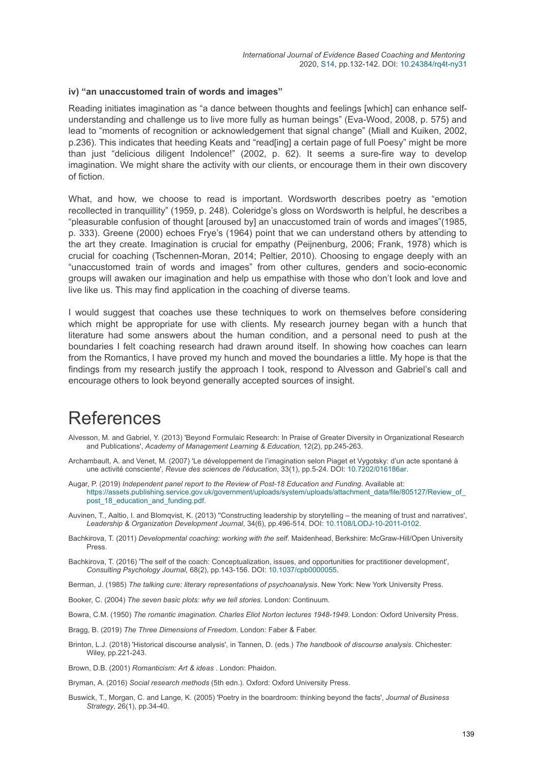#### **iv) "an unaccustomed train of words and images"**

Reading initiates imagination as "a dance between thoughts and feelings [which] can enhance selfunderstanding and challenge us to live more fully as human beings" (Eva-Wood, 2008, p. 575) and lead to "moments of recognition or acknowledgement that signal change" (Miall and Kuiken, 2002, p.236). This indicates that heeding Keats and "read[ing] a certain page of full Poesy" might be more than just "delicious diligent Indolence!" (2002, p. 62). It seems a sure-fire way to develop imagination. We might share the activity with our clients, or encourage them in their own discovery of fiction.

What, and how, we choose to read is important. Wordsworth describes poetry as "emotion recollected in tranquillity" (1959, p. 248). Coleridge's gloss on Wordsworth is helpful, he describes a "pleasurable confusion of thought [aroused by] an unaccustomed train of words and images"(1985, p. 333). Greene (2000) echoes Frye's (1964) point that we can understand others by attending to the art they create. Imagination is crucial for empathy (Peijnenburg, 2006; Frank, 1978) which is crucial for coaching (Tschennen-Moran, 2014; Peltier, 2010). Choosing to engage deeply with an "unaccustomed train of words and images" from other cultures, genders and socio-economic groups will awaken our imagination and help us empathise with those who don't look and love and live like us. This may find application in the coaching of diverse teams.

I would suggest that coaches use these techniques to work on themselves before considering which might be appropriate for use with clients. My research journey began with a hunch that literature had some answers about the human condition, and a personal need to push at the boundaries I felt coaching research had drawn around itself. In showing how coaches can learn from the Romantics, I have proved my hunch and moved the boundaries a little. My hope is that the findings from my research justify the approach I took, respond to Alvesson and Gabriel's call and encourage others to look beyond generally accepted sources of insight.

### **References**

- Alvesson, M. and Gabriel, Y. (2013) 'Beyond Formulaic Research: In Praise of Greater Diversity in Organizational Research and Publications', *Academy of Management Learning & Education*, 12(2), pp.245-263.
- Archambault, A. and Venet, M. (2007) 'Le développement de l'imagination selon Piaget et Vygotsky: d'un acte spontané à une activité consciente', *Revue des sciences de l'éducation*, 33(1), pp.5-24. DOI: [10.7202/016186ar](https://doi.org/10.7202/016186ar).
- Augar, P. (2019) *Independent panel report to the Review of Post-18 Education and Funding*. Available at: [https://assets.publishing.service.gov.uk/government/uploads/system/uploads/attachment\\_data/file/805127/Review\\_of\\_](https://assets.publishing.service.gov.uk/government/uploads/system/uploads/attachment_data/file/805127/Review_of_post_18_education_and_funding.pdf) post\_18\_education\_and\_funding.pdf.
- Auvinen, T., Aaltio, I. and Blomqvist, K. (2013) ''Constructing leadership by storytelling the meaning of trust and narratives', *Leadership & Organization Development Journal*, 34(6), pp.496-514. DOI: [10.1108/LODJ-10-2011-0102.](https://doi.org/10.1108/LODJ-10-2011-0102)
- Bachkirova, T. (2011) *Developmental coaching: working with the self*. Maidenhead, Berkshire: McGraw-Hill/Open University Press.
- Bachkirova, T. (2016) 'The self of the coach: Conceptualization, issues, and opportunities for practitioner development', *Consulting Psychology Journal*, 68(2), pp.143-156. DOI: [10.1037/cpb0000055](https://doi.org/10.1037/cpb0000055).
- Berman, J. (1985) *The talking cure: literary representations of psychoanalysis*. New York: New York University Press.
- Booker, C. (2004) *The seven basic plots: why we tell stories*. London: Continuum.
- Bowra, C.M. (1950) *The romantic imagination. Charles Eliot Norton lectures 1948-1949*. London: Oxford University Press.
- Bragg, B. (2019) *The Three Dimensions of Freedom*. London: Faber & Faber.
- Brinton, L.J. (2018) 'Historical discourse analysis', in Tannen, D. (eds.) *The handbook of discourse analysis*. Chichester: Wiley, pp.221-243.

Brown, D.B. (2001) *Romanticism: Art & ideas* . London: Phaidon.

Bryman, A. (2016) *Social research methods* (5th edn.). Oxford: Oxford University Press.

Buswick, T., Morgan, C. and Lange, K. (2005) 'Poetry in the boardroom: thinking beyond the facts', *Journal of Business Strategy*, 26(1), pp.34-40.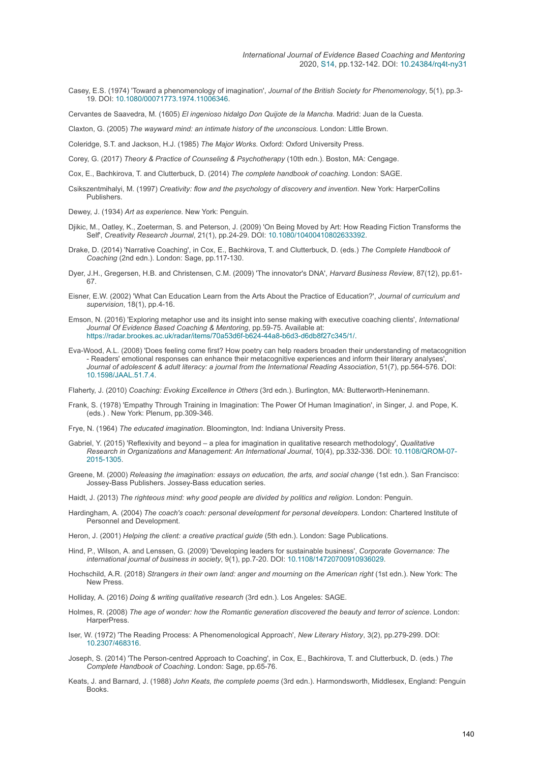Casey, E.S. (1974) 'Toward a phenomenology of imagination', *Journal of the British Society for Phenomenology*, 5(1), pp.3- 19. DOI: [10.1080/00071773.1974.11006346](https://doi.org/10.1080/00071773.1974.11006346).

Cervantes de Saavedra, M. (1605) *El ingenioso hidalgo Don Quijote de la Mancha*. Madrid: Juan de la Cuesta.

Claxton, G. (2005) *The wayward mind: an intimate history of the unconscious*. London: Little Brown.

Coleridge, S.T. and Jackson, H.J. (1985) *The Major Works*. Oxford: Oxford University Press.

Corey, G. (2017) *Theory & Practice of Counseling & Psychotherapy* (10th edn.). Boston, MA: Cengage.

- Cox, E., Bachkirova, T. and Clutterbuck, D. (2014) *The complete handbook of coaching*. London: SAGE.
- Csikszentmihalyi, M. (1997) *Creativity: flow and the psychology of discovery and invention*. New York: HarperCollins **Publishers**
- Dewey, J. (1934) *Art as experience*. New York: Penguin.
- Djikic, M., Oatley, K., Zoeterman, S. and Peterson, J. (2009) 'On Being Moved by Art: How Reading Fiction Transforms the Self', *Creativity Research Journal*, 21(1), pp.24-29. DOI: [10.1080/10400410802633392](https://doi.org/10.1080/10400410802633392).
- Drake, D. (2014) 'Narrative Coaching', in Cox, E., Bachkirova, T. and Clutterbuck, D. (eds.) *The Complete Handbook of Coaching* (2nd edn.). London: Sage, pp.117-130.
- Dyer, J.H., Gregersen, H.B. and Christensen, C.M. (2009) 'The innovator's DNA', *Harvard Business Review*, 87(12), pp.61- 67.
- Eisner, E.W. (2002) 'What Can Education Learn from the Arts About the Practice of Education?', *Journal of curriculum and supervision*, 18(1), pp.4-16.
- Emson, N. (2016) 'Exploring metaphor use and its insight into sense making with executive coaching clients', *International Journal Of Evidence Based Coaching & Mentoring*, pp.59-75. Available at: [https://radar.brookes.ac.uk/radar/items/70a53d6f-b624-44a8-b6d3-d6db8f27c345/1/.](https://radar.brookes.ac.uk/radar/items/70a53d6f-b624-44a8-b6d3-d6db8f27c345/1/)
- Eva-Wood, A.L. (2008) 'Does feeling come first? How poetry can help readers broaden their understanding of metacognition - Readers' emotional responses can enhance their metacognitive experiences and inform their literary analyses', *Journal of adolescent & adult literacy: a journal from the International Reading Association*, 51(7), pp.564-576. DOI: [10.1598/JAAL.51.7.4](https://doi.org/10.1598/JAAL.51.7.4).

Flaherty, J. (2010) *Coaching: Evoking Excellence in Others* (3rd edn.). Burlington, MA: Butterworth-Heninemann.

- Frank, S. (1978) 'Empathy Through Training in Imagination: The Power Of Human Imagination', in Singer, J. and Pope, K. (eds.) . New York: Plenum, pp.309-346.
- Frye, N. (1964) *The educated imagination*. Bloomington, Ind: Indiana University Press.
- Gabriel, Y. (2015) 'Reflexivity and beyond a plea for imagination in qualitative research methodology', *Qualitative [Research in Organizations and Management: An International Journal](https://doi.org/10.1108/QROM-07-2015-1305)*, 10(4), pp.332-336. DOI: 10.1108/QROM-07- 2015-1305.
- Greene, M. (2000) *Releasing the imagination: essays on education, the arts, and social change* (1st edn.). San Francisco: Jossey-Bass Publishers. Jossey-Bass education series.

Haidt, J. (2013) *The righteous mind: why good people are divided by politics and religion*. London: Penguin.

- Hardingham, A. (2004) *The coach's coach: personal development for personal developers*. London: Chartered Institute of Personnel and Development.
- Heron, J. (2001) *Helping the client: a creative practical guide* (5th edn.). London: Sage Publications.
- Hind, P., Wilson, A. and Lenssen, G. (2009) 'Developing leaders for sustainable business', *Corporate Governance: The international journal of business in society*, 9(1), pp.7-20. DOI: [10.1108/14720700910936029](https://doi.org/10.1108/14720700910936029).
- Hochschild, A.R. (2018) *Strangers in their own land: anger and mourning on the American right* (1st edn.). New York: The New Press.
- Holliday, A. (2016) *Doing & writing qualitative research* (3rd edn.). Los Angeles: SAGE.
- Holmes, R. (2008) *The age of wonder: how the Romantic generation discovered the beauty and terror of science*. London: HarperPress.
- Iser, W. (1972) 'The Reading Process: A Phenomenological Approach', *New Literary History*, 3(2), pp.279-299. DOI: [10.2307/468316](https://doi.org/10.2307/468316).
- Joseph, S. (2014) 'The Person-centred Approach to Coaching', in Cox, E., Bachkirova, T. and Clutterbuck, D. (eds.) *The Complete Handbook of Coaching*. London: Sage, pp.65-76.
- Keats, J. and Barnard, J. (1988) *John Keats, the complete poems* (3rd edn.). Harmondsworth, Middlesex, England: Penguin Books.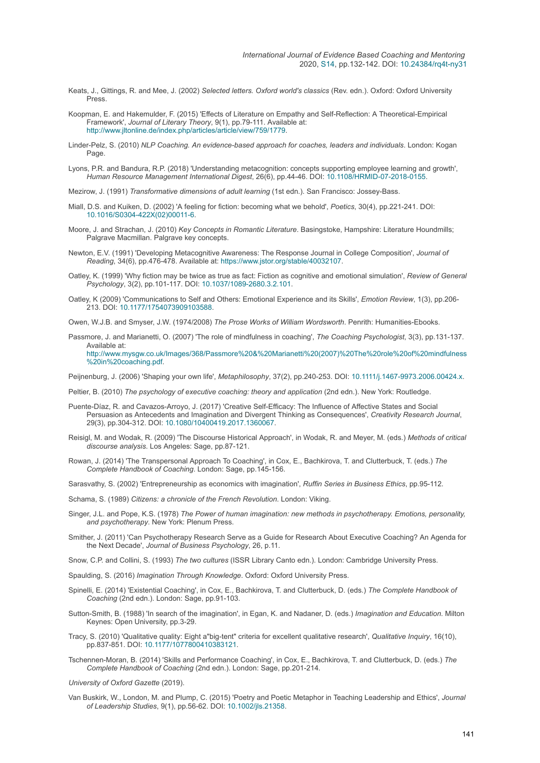- Keats, J., Gittings, R. and Mee, J. (2002) *Selected letters. Oxford world's classics* (Rev. edn.). Oxford: Oxford University Press.
- Koopman, E. and Hakemulder, F. (2015) 'Effects of Literature on Empathy and Self-Reflection: A Theoretical-Empirical Framework', *Journal of Literary Theory*, 9(1), pp.79-111. Available at: <http://www.jltonline.de/index.php/articles/article/view/759/1779>.
- Linder-Pelz, S. (2010) *NLP Coaching. An evidence-based approach for coaches, leaders and individuals*. London: Kogan Page
- Lyons, P.R. and Bandura, R.P. (2018) 'Understanding metacognition: concepts supporting employee learning and growth', *Human Resource Management International Digest*, 26(6), pp.44-46. DOI: [10.1108/HRMID-07-2018-0155.](https://doi.org/10.1108/HRMID-07-2018-0155)
- Mezirow, J. (1991) *Transformative dimensions of adult learning* (1st edn.). San Francisco: Jossey-Bass.
- Miall, D.S. and Kuiken, D. (2002) 'A feeling for fiction: becoming what we behold', *Poetics*, 30(4), pp.221-241. DOI: [10.1016/S0304-422X\(02\)00011-6](https://doi.org/10.1016/S0304-422X(02)00011-6).
- Moore, J. and Strachan, J. (2010) *Key Concepts in Romantic Literature*. Basingstoke, Hampshire: Literature Houndmills; Palgrave Macmillan. Palgrave key concepts.
- Newton, E.V. (1991) 'Developing Metacognitive Awareness: The Response Journal in College Composition', *Journal of Reading*, 34(6), pp.476-478. Available at:<https://www.jstor.org/stable/40032107>.
- Oatley, K. (1999) 'Why fiction may be twice as true as fact: Fiction as cognitive and emotional simulation', *Review of General Psychology*, 3(2), pp.101-117. DOI: [10.1037/1089-2680.3.2.101.](https://doi.org/10.1037/1089-2680.3.2.101)
- Oatley, K (2009) 'Communications to Self and Others: Emotional Experience and its Skills', *Emotion Review*, 1(3), pp.206- 213. DOI: [10.1177/1754073909103588](https://doi.org/10.1177/1754073909103588).
- Owen, W.J.B. and Smyser, J.W. (1974/2008) *The Prose Works of William Wordsworth*. Penrith: Humanities-Ebooks.
- Passmore, J. and Marianetti, O. (2007) 'The role of mindfulness in coaching', *The Coaching Psychologist*, 3(3), pp.131-137. Available at: [http://www.mysgw.co.uk/Images/368/Passmore%20&%20Marianetti%20\(2007\)%20The%20role%20of%20mindfulness](http://www.mysgw.co.uk/Images/368/Passmore%20&%20Marianetti%20(2007)%20The%20role%20of%20mindfulness%20in%20coaching.pdf) %20in%20coaching.pdf.

Peijnenburg, J. (2006) 'Shaping your own life', *Metaphilosophy*, 37(2), pp.240-253. DOI: [10.1111/j.1467-9973.2006.00424.x.](https://doi.org/10.1111/j.1467-9973.2006.00424.x)

- Peltier, B. (2010) *The psychology of executive coaching: theory and application* (2nd edn.). New York: Routledge.
- Puente-Díaz, R. and Cavazos-Arroyo, J. (2017) 'Creative Self-Efficacy: The Influence of Affective States and Social Persuasion as Antecedents and Imagination and Divergent Thinking as Consequences', *Creativity Research Journal*, 29(3), pp.304-312. DOI: [10.1080/10400419.2017.1360067](https://doi.org/10.1080/10400419.2017.1360067).
- Reisigl, M. and Wodak, R. (2009) 'The Discourse Historical Approach', in Wodak, R. and Meyer, M. (eds.) *Methods of critical discourse analysis*. Los Angeles: Sage, pp.87-121.
- Rowan, J. (2014) 'The Transpersonal Approach To Coaching', in Cox, E., Bachkirova, T. and Clutterbuck, T. (eds.) *The Complete Handbook of Coaching*. London: Sage, pp.145-156.

Sarasvathy, S. (2002) 'Entrepreneurship as economics with imagination', *Ruffin Series in Business Ethics*, pp.95-112.

- Schama, S. (1989) *Citizens: a chronicle of the French Revolution*. London: Viking.
- Singer, J.L. and Pope, K.S. (1978) *The Power of human imagination: new methods in psychotherapy. Emotions, personality, and psychotherapy*. New York: Plenum Press.
- Smither, J. (2011) 'Can Psychotherapy Research Serve as a Guide for Research About Executive Coaching? An Agenda for the Next Decade', *Journal of Business Psychology*, 26, p.11.
- Snow, C.P. and Collini, S. (1993) *The two cultures* (ISSR Library Canto edn.). London: Cambridge University Press.
- Spaulding, S. (2016) *Imagination Through Knowledge*. Oxford: Oxford University Press.
- Spinelli, E. (2014) 'Existential Coaching', in Cox, E., Bachkirova, T. and Clutterbuck, D. (eds.) *The Complete Handbook of Coaching* (2nd edn.). London: Sage, pp.91-103.
- Sutton-Smith, B. (1988) 'In search of the imagination', in Egan, K. and Nadaner, D. (eds.) *Imagination and Education*. Milton Keynes: Open University, pp.3-29.
- Tracy, S. (2010) 'Qualitative quality: Eight a"big-tent" criteria for excellent qualitative research', *Qualitative Inquiry*, 16(10), pp.837-851. DOI: [10.1177/1077800410383121.](https://doi.org/10.1177/1077800410383121)
- Tschennen-Moran, B. (2014) 'Skills and Performance Coaching', in Cox, E., Bachkirova, T. and Clutterbuck, D. (eds.) *The Complete Handbook of Coaching* (2nd edn.). London: Sage, pp.201-214.
- *University of Oxford Gazette* (2019).
- Van Buskirk, W., London, M. and Plump, C. (2015) 'Poetry and Poetic Metaphor in Teaching Leadership and Ethics', *Journal of Leadership Studies*, 9(1), pp.56-62. DOI: [10.1002/jls.21358.](https://doi.org/10.1002/jls.21358)